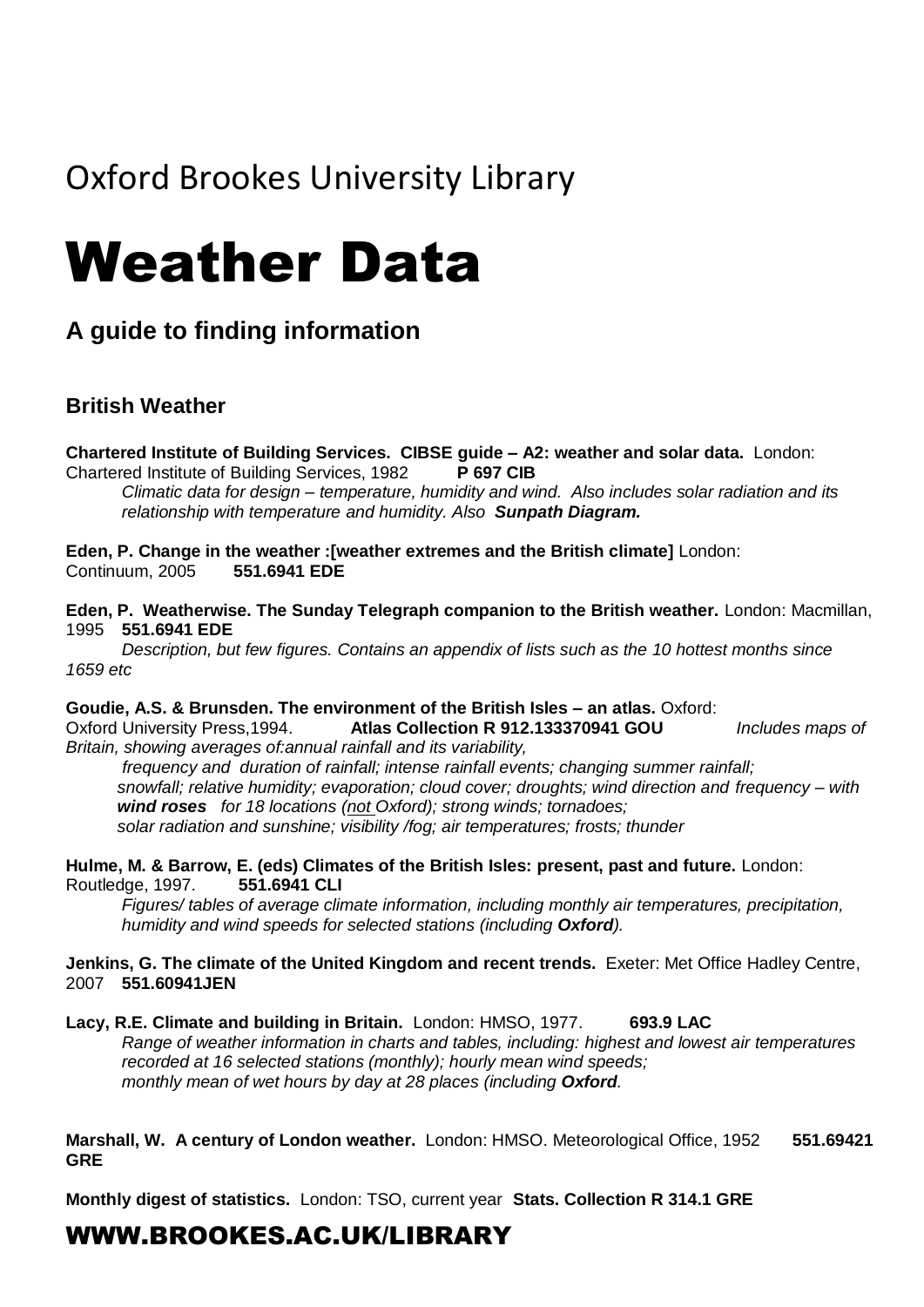# Oxford Brookes University Library

# Weather Data

### **A guide to finding information**

#### **British Weather**

**Chartered Institute of Building Services. CIBSE guide – A2: weather and solar data.** London: Chartered Institute of Building Services, 1982 **P 697 CIB**

*Climatic data for design – temperature, humidity and wind. Also includes solar radiation and its relationship with temperature and humidity. Also Sunpath Diagram.*

**Eden, P. Change in the weather :[weather extremes and the British climate]** London: Continuum, 2005 **551.6941 EDE**

**Eden, P. Weatherwise. The Sunday Telegraph companion to the British weather.** London: Macmillan, 1995 **551.6941 EDE**

*Description, but few figures. Contains an appendix of lists such as the 10 hottest months since 1659 etc*

#### **Goudie, A.S. & Brunsden. The environment of the British Isles – an atlas.** Oxford:

Oxford University Press,1994. **Atlas Collection R 912.133370941 GOU** *Includes maps of Britain, showing averages of:annual rainfall and its variability,*

*frequency and duration of rainfall; intense rainfall events; changing summer rainfall; snowfall; relative humidity; evaporation; cloud cover; droughts; wind direction and frequency – with wind roses for 18 locations (not Oxford); strong winds; tornadoes; solar radiation and sunshine; visibility /fog; air temperatures; frosts; thunder*

**Hulme, M. & Barrow, E. (eds) Climates of the British Isles: present, past and future.** London: Routledge, 1997. **551.6941 CLI**

*Figures/ tables of average climate information, including monthly air temperatures, precipitation, humidity and wind speeds for selected stations (including Oxford).*

#### **Jenkins, G. The climate of the United Kingdom and recent trends.** Exeter: Met Office Hadley Centre, 2007 **551.60941JEN**

**Lacy, R.E. Climate and building in Britain.** London: HMSO, 1977. **693.9 LAC** *Range of weather information in charts and tables, including: highest and lowest air temperatures recorded at 16 selected stations (monthly); hourly mean wind speeds; monthly mean of wet hours by day at 28 places (including Oxford.*

**Marshall, W. A century of London weather.** London: HMSO. Meteorological Office, 1952 **551.69421 GRE**

**Monthly digest of statistics.** London: TSO, current year **Stats. Collection R 314.1 GRE**

## WWW.BROOKES.AC.UK/LIBRARY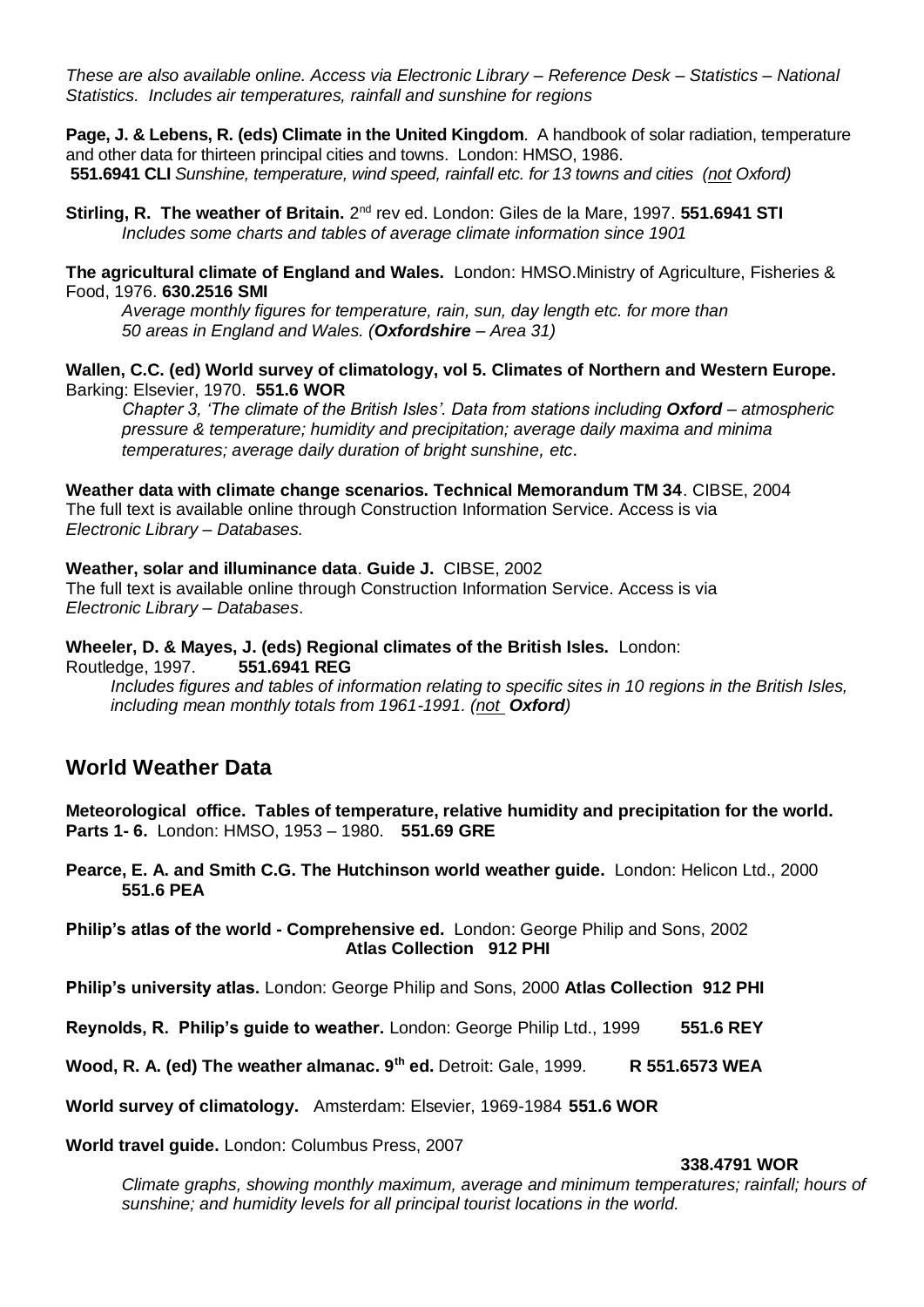*These are also available online. Access via Electronic Library – Reference Desk – Statistics – National Statistics. Includes air temperatures, rainfall and sunshine for regions*

**Page, J. & Lebens, R. (eds) Climate in the United Kingdom**. A handbook of solar radiation, temperature and other data for thirteen principal cities and towns. London: HMSO, 1986. **551.6941 CLI** *Sunshine, temperature, wind speed, rainfall etc. for 13 towns and cities (not Oxford)*

Stirling, R. The weather of Britain. 2<sup>nd</sup> rev ed. London: Giles de la Mare, 1997. 551.6941 STI *Includes some charts and tables of average climate information since 1901* 

**The agricultural climate of England and Wales.** London: HMSO.Ministry of Agriculture, Fisheries & Food, 1976. **630.2516 SMI**

*Average monthly figures for temperature, rain, sun, day length etc. for more than 50 areas in England and Wales. (Oxfordshire – Area 31)*

**Wallen, C.C. (ed) World survey of climatology, vol 5. Climates of Northern and Western Europe.**  Barking: Elsevier, 1970. **551.6 WOR**

*Chapter 3, 'The climate of the British Isles'. Data from stations including Oxford – atmospheric pressure & temperature; humidity and precipitation; average daily maxima and minima temperatures; average daily duration of bright sunshine, etc*.

**Weather data with climate change scenarios. Technical Memorandum TM 34**. CIBSE, 2004 The full text is available online through Construction Information Service. Access is via *Electronic Library* – *Databases.*

**Weather, solar and illuminance data**. **Guide J.** CIBSE, 2002 The full text is available online through Construction Information Service. Access is via *Electronic Library* – *Databases*.

**Wheeler, D. & Mayes, J. (eds) Regional climates of the British Isles.** London: Routledge, 1997. **551.6941 REG**

*Includes figures and tables of information relating to specific sites in 10 regions in the British Isles, including mean monthly totals from 1961-1991. (not Oxford)*

#### **World Weather Data**

**Meteorological office. Tables of temperature, relative humidity and precipitation for the world. Parts 1- 6.** London: HMSO, 1953 – 1980. **551.69 GRE**

**Pearce, E. A. and Smith C.G. The Hutchinson world weather guide.** London: Helicon Ltd., 2000 **551.6 PEA**

**Philip's atlas of the world - Comprehensive ed.** London: George Philip and Sons, 2002 **Atlas Collection 912 PHI**

**Philip's university atlas.** London: George Philip and Sons, 2000 **Atlas Collection 912 PHI**

**Reynolds, R. Philip's guide to weather.** London: George Philip Ltd., 1999 **551.6 REY**

**Wood, R. A. (ed) The weather almanac. 9th ed.** Detroit: Gale, 1999. **R 551.6573 WEA**

**World survey of climatology.** Amsterdam: Elsevier, 1969-1984 **551.6 WOR**

**World travel guide.** London: Columbus Press, 2007

#### **338.4791 WOR**

*Climate graphs, showing monthly maximum, average and minimum temperatures; rainfall; hours of sunshine; and humidity levels for all principal tourist locations in the world.*